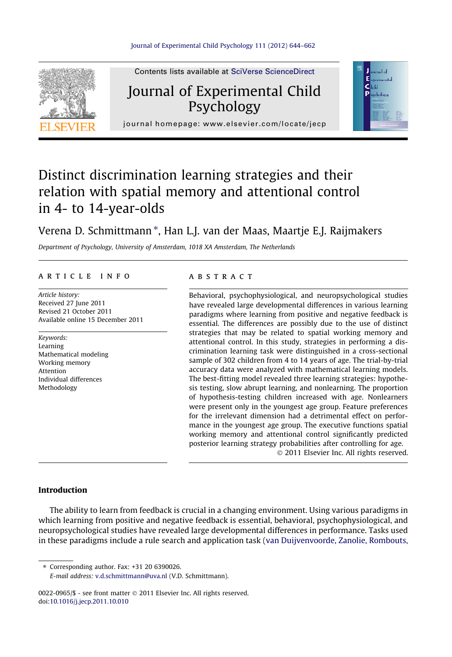



Psychology journal homepage: [www.elsevier.com/locate/jecp](http://www.elsevier.com/locate/jecp)

## Distinct discrimination learning strategies and their relation with spatial memory and attentional control in 4- to 14-year-olds

### Verena D. Schmittmann \*, Han L.J. van der Maas, Maartje E.J. Raijmakers

Department of Psychology, University of Amsterdam, 1018 XA Amsterdam, The Netherlands

#### article info

Article history: Received 27 June 2011 Revised 21 October 2011 Available online 15 December 2011

Keywords: Learning Mathematical modeling Working memory Attention Individual differences Methodology

#### **ABSTRACT**

Behavioral, psychophysiological, and neuropsychological studies have revealed large developmental differences in various learning paradigms where learning from positive and negative feedback is essential. The differences are possibly due to the use of distinct strategies that may be related to spatial working memory and attentional control. In this study, strategies in performing a discrimination learning task were distinguished in a cross-sectional sample of 302 children from 4 to 14 years of age. The trial-by-trial accuracy data were analyzed with mathematical learning models. The best-fitting model revealed three learning strategies: hypothesis testing, slow abrupt learning, and nonlearning. The proportion of hypothesis-testing children increased with age. Nonlearners were present only in the youngest age group. Feature preferences for the irrelevant dimension had a detrimental effect on performance in the youngest age group. The executive functions spatial working memory and attentional control significantly predicted posterior learning strategy probabilities after controlling for age. - 2011 Elsevier Inc. All rights reserved.

#### Introduction

The ability to learn from feedback is crucial in a changing environment. Using various paradigms in which learning from positive and negative feedback is essential, behavioral, psychophysiological, and neuropsychological studies have revealed large developmental differences in performance. Tasks used in these paradigms include a rule search and application task [\(van Duijvenvoorde, Zanolie, Rombouts,](#page--1-0)

⇑ Corresponding author. Fax: +31 20 6390026. E-mail address: [v.d.schmittmann@uva.nl](mailto:v.d.schmittmann@uva.nl) (V.D. Schmittmann).

0022-0965/\$ - see front matter © 2011 Elsevier Inc. All rights reserved. doi:[10.1016/j.jecp.2011.10.010](http://dx.doi.org/10.1016/j.jecp.2011.10.010)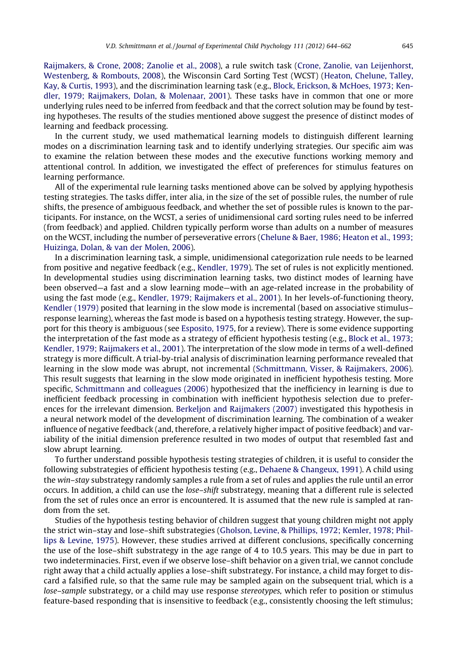[Raijmakers, & Crone, 2008; Zanolie et al., 2008\)](#page--1-0), a rule switch task [\(Crone, Zanolie, van Leijenhorst,](#page--1-0) [Westenberg, & Rombouts, 2008\)](#page--1-0), the Wisconsin Card Sorting Test (WCST) ([Heaton, Chelune, Talley,](#page--1-0) [Kay, & Curtis, 1993](#page--1-0)), and the discrimination learning task (e.g., [Block, Erickson, & McHoes, 1973; Ken](#page--1-0)[dler, 1979; Raijmakers, Dolan, & Molenaar, 2001](#page--1-0)). These tasks have in common that one or more underlying rules need to be inferred from feedback and that the correct solution may be found by testing hypotheses. The results of the studies mentioned above suggest the presence of distinct modes of learning and feedback processing.

In the current study, we used mathematical learning models to distinguish different learning modes on a discrimination learning task and to identify underlying strategies. Our specific aim was to examine the relation between these modes and the executive functions working memory and attentional control. In addition, we investigated the effect of preferences for stimulus features on learning performance.

All of the experimental rule learning tasks mentioned above can be solved by applying hypothesis testing strategies. The tasks differ, inter alia, in the size of the set of possible rules, the number of rule shifts, the presence of ambiguous feedback, and whether the set of possible rules is known to the participants. For instance, on the WCST, a series of unidimensional card sorting rules need to be inferred (from feedback) and applied. Children typically perform worse than adults on a number of measures on the WCST, including the number of perseverative errors [\(Chelune & Baer, 1986; Heaton et al., 1993;](#page--1-0) [Huizinga, Dolan, & van der Molen, 2006](#page--1-0)).

In a discrimination learning task, a simple, unidimensional categorization rule needs to be learned from positive and negative feedback (e.g., [Kendler, 1979](#page--1-0)). The set of rules is not explicitly mentioned. In developmental studies using discrimination learning tasks, two distinct modes of learning have been observed—a fast and a slow learning mode—with an age-related increase in the probability of using the fast mode (e.g., [Kendler, 1979; Raijmakers et al., 2001](#page--1-0)). In her levels-of-functioning theory, [Kendler \(1979\)](#page--1-0) posited that learning in the slow mode is incremental (based on associative stimulus– response learning), whereas the fast mode is based on a hypothesis testing strategy. However, the support for this theory is ambiguous (see [Esposito, 1975](#page--1-0), for a review). There is some evidence supporting the interpretation of the fast mode as a strategy of efficient hypothesis testing (e.g., [Block et al., 1973;](#page--1-0) [Kendler, 1979; Raijmakers et al., 2001](#page--1-0)). The interpretation of the slow mode in terms of a well-defined strategy is more difficult. A trial-by-trial analysis of discrimination learning performance revealed that learning in the slow mode was abrupt, not incremental [\(Schmittmann, Visser, & Raijmakers, 2006\)](#page--1-0). This result suggests that learning in the slow mode originated in inefficient hypothesis testing. More specific, [Schmittmann and colleagues \(2006\)](#page--1-0) hypothesized that the inefficiency in learning is due to inefficient feedback processing in combination with inefficient hypothesis selection due to preferences for the irrelevant dimension. [Berkeljon and Raijmakers \(2007\)](#page--1-0) investigated this hypothesis in a neural network model of the development of discrimination learning. The combination of a weaker influence of negative feedback (and, therefore, a relatively higher impact of positive feedback) and variability of the initial dimension preference resulted in two modes of output that resembled fast and slow abrupt learning.

To further understand possible hypothesis testing strategies of children, it is useful to consider the following substrategies of efficient hypothesis testing (e.g., [Dehaene & Changeux, 1991\)](#page--1-0). A child using the win–stay substrategy randomly samples a rule from a set of rules and applies the rule until an error occurs. In addition, a child can use the lose–shift substrategy, meaning that a different rule is selected from the set of rules once an error is encountered. It is assumed that the new rule is sampled at random from the set.

Studies of the hypothesis testing behavior of children suggest that young children might not apply the strict win–stay and lose–shift substrategies ([Gholson, Levine, & Phillips, 1972; Kemler, 1978; Phil](#page--1-0)[lips & Levine, 1975](#page--1-0)). However, these studies arrived at different conclusions, specifically concerning the use of the lose–shift substrategy in the age range of 4 to 10.5 years. This may be due in part to two indeterminacies. First, even if we observe lose–shift behavior on a given trial, we cannot conclude right away that a child actually applies a lose–shift substrategy. For instance, a child may forget to discard a falsified rule, so that the same rule may be sampled again on the subsequent trial, which is a lose–sample substrategy, or a child may use response stereotypes, which refer to position or stimulus feature-based responding that is insensitive to feedback (e.g., consistently choosing the left stimulus;